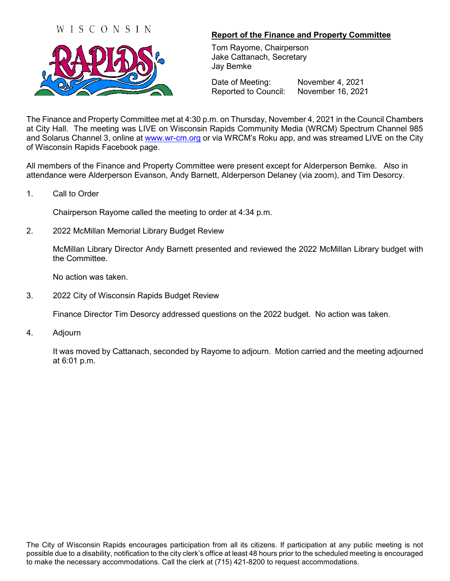



## **Report of the Finance and Property Committee**

Tom Rayome, Chairperson Jake Cattanach, Secretary Jay Bemke

Date of Meeting: November 4, 2021 Reported to Council: November 16, 2021

The Finance and Property Committee met at 4:30 p.m. on Thursday, November 4, 2021 in the Council Chambers at City Hall. The meeting was LIVE on Wisconsin Rapids Community Media (WRCM) Spectrum Channel 985 and Solarus Channel 3, online at [www.wr-cm.org](http://www.wr-cm.org/) or via WRCM's Roku app, and was streamed LIVE on the City of Wisconsin Rapids Facebook page.

All members of the Finance and Property Committee were present except for Alderperson Bemke. Also in attendance were Alderperson Evanson, Andy Barnett, Alderperson Delaney (via zoom), and Tim Desorcy.

1. Call to Order

Chairperson Rayome called the meeting to order at 4:34 p.m.

2. 2022 McMillan Memorial Library Budget Review

McMillan Library Director Andy Barnett presented and reviewed the 2022 McMillan Library budget with the Committee.

No action was taken.

3. 2022 City of Wisconsin Rapids Budget Review

Finance Director Tim Desorcy addressed questions on the 2022 budget. No action was taken.

4. Adjourn

It was moved by Cattanach, seconded by Rayome to adjourn. Motion carried and the meeting adjourned at 6:01 p.m.